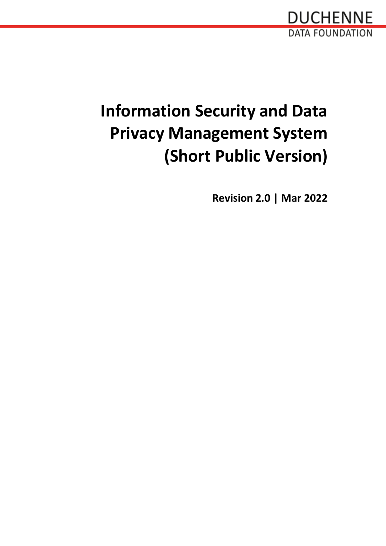

# **Information Security and Data Privacy Management System (Short Public Version)**

**Revision 2.0 | Mar 2022**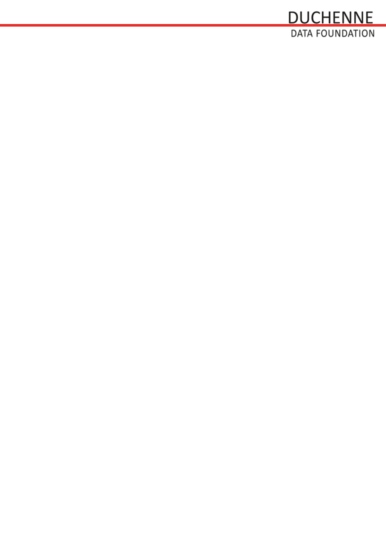# **DUCHENNE**<br>DATA FOUNDATION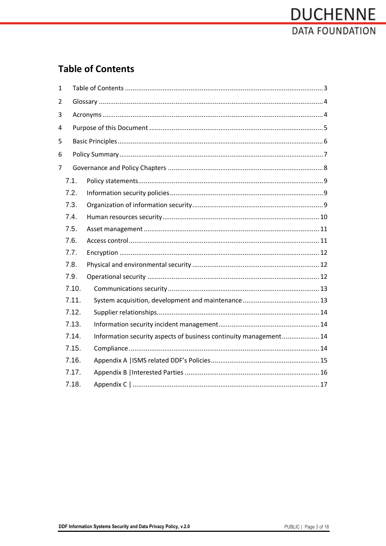# **DUCHENNE** DATA FOUNDATION

## <span id="page-2-0"></span>**Table of Contents**

| 1 |       |                                                                   |  |  |  |  |
|---|-------|-------------------------------------------------------------------|--|--|--|--|
| 2 |       |                                                                   |  |  |  |  |
| 3 |       |                                                                   |  |  |  |  |
| 4 |       |                                                                   |  |  |  |  |
| 5 |       |                                                                   |  |  |  |  |
| 6 |       |                                                                   |  |  |  |  |
| 7 |       |                                                                   |  |  |  |  |
|   | 7.1.  |                                                                   |  |  |  |  |
|   | 7.2.  |                                                                   |  |  |  |  |
|   | 7.3.  |                                                                   |  |  |  |  |
|   | 7.4.  |                                                                   |  |  |  |  |
|   | 7.5.  |                                                                   |  |  |  |  |
|   | 7.6.  |                                                                   |  |  |  |  |
|   | 7.7.  |                                                                   |  |  |  |  |
|   | 7.8.  |                                                                   |  |  |  |  |
|   | 7.9.  |                                                                   |  |  |  |  |
|   | 7.10. |                                                                   |  |  |  |  |
|   | 7.11. |                                                                   |  |  |  |  |
|   | 7.12. |                                                                   |  |  |  |  |
|   | 7.13. |                                                                   |  |  |  |  |
|   | 7.14. | Information security aspects of business continuity management 14 |  |  |  |  |
|   | 7.15. |                                                                   |  |  |  |  |
|   | 7.16. |                                                                   |  |  |  |  |
|   | 7.17. |                                                                   |  |  |  |  |
|   | 7.18. |                                                                   |  |  |  |  |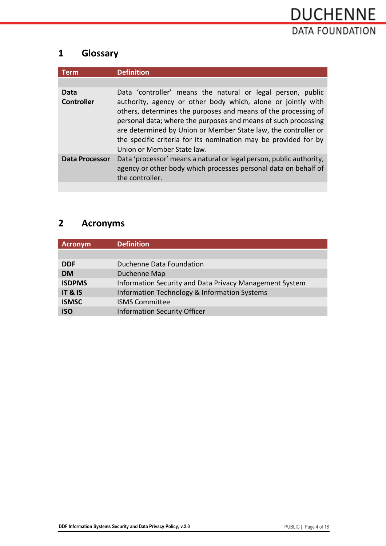

# <span id="page-3-0"></span>**1 Glossary**

| <b>Term</b>               | <b>Definition</b>                                                                                                                                                                                                                                                                                                                                                                                                                  |
|---------------------------|------------------------------------------------------------------------------------------------------------------------------------------------------------------------------------------------------------------------------------------------------------------------------------------------------------------------------------------------------------------------------------------------------------------------------------|
|                           |                                                                                                                                                                                                                                                                                                                                                                                                                                    |
| Data<br><b>Controller</b> | Data 'controller' means the natural or legal person, public<br>authority, agency or other body which, alone or jointly with<br>others, determines the purposes and means of the processing of<br>personal data; where the purposes and means of such processing<br>are determined by Union or Member State law, the controller or<br>the specific criteria for its nomination may be provided for by<br>Union or Member State law. |
| Data Processor            | Data 'processor' means a natural or legal person, public authority,<br>agency or other body which processes personal data on behalf of<br>the controller.                                                                                                                                                                                                                                                                          |

## <span id="page-3-1"></span>**2 Acronyms**

| <b>Acronym</b> | <b>Definition</b>                                       |
|----------------|---------------------------------------------------------|
|                |                                                         |
| <b>DDF</b>     | Duchenne Data Foundation                                |
| <b>DM</b>      | Duchenne Map                                            |
| <b>ISDPMS</b>  | Information Security and Data Privacy Management System |
| IT & IS        | <b>Information Technology &amp; Information Systems</b> |
| <b>ISMSC</b>   | <b>ISMS Committee</b>                                   |
| <b>ISO</b>     | <b>Information Security Officer</b>                     |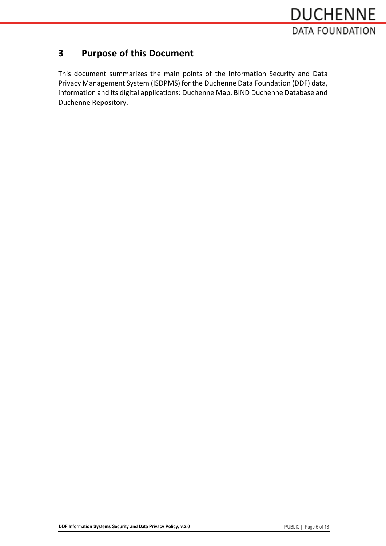## <span id="page-4-0"></span>**3 Purpose of this Document**

This document summarizes the main points of the Information Security and Data Privacy Management System (ISDPMS) for the Duchenne Data Foundation (DDF) data, information and its digital applications: Duchenne Map, BIND Duchenne Database and Duchenne Repository.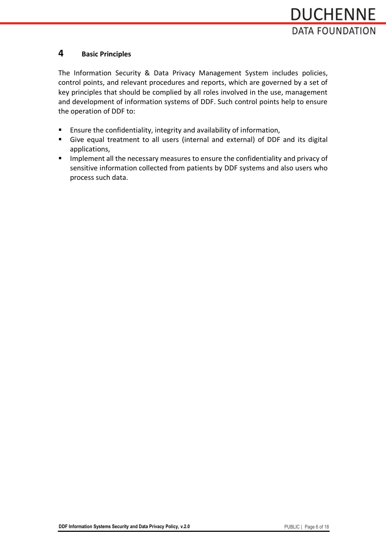#### <span id="page-5-0"></span>**4 Basic Principles**

The Information Security & Data Privacy Management System includes policies, control points, and relevant procedures and reports, which are governed by a set of key principles that should be complied by all roles involved in the use, management and development of information systems of DDF. Such control points help to ensure the operation of DDF to:

- Ensure the confidentiality, integrity and availability of information,
- Give equal treatment to all users (internal and external) of DDF and its digital applications,
- **EXTERGHTM** Implement all the necessary measures to ensure the confidentiality and privacy of sensitive information collected from patients by DDF systems and also users who process such data.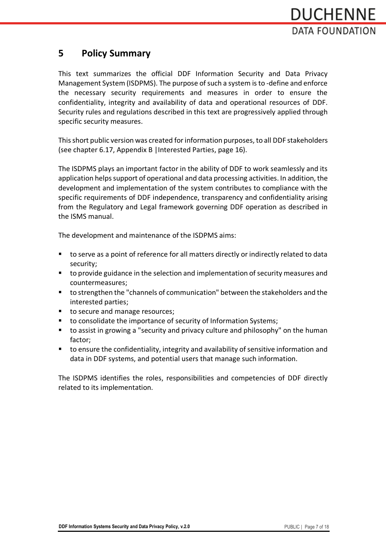## <span id="page-6-0"></span>**5 Policy Summary**

This text summarizes the official DDF Information Security and Data Privacy Management System (ISDPMS). The purpose of such a system is to -define and enforce the necessary security requirements and measures in order to ensure the confidentiality, integrity and availability of data and operational resources of DDF. Security rules and regulations described in this text are progressively applied through specific security measures.

This short public version was created for information purposes, to all DDF stakeholders (see chapter [6.17, Appendix B |Interested Parties,](#page-15-0) pag[e 16\)](#page-15-0).

The ISDPMS plays an important factor in the ability of DDF to work seamlessly and its application helps support of operational and data processing activities. In addition, the development and implementation of the system contributes to compliance with the specific requirements of DDF independence, transparency and confidentiality arising from the Regulatory and Legal framework governing DDF operation as described in the ISMS manual.

The development and maintenance of the ISDPMS aims:

- to serve as a point of reference for all matters directly or indirectly related to data security;
- to provide guidance in the selection and implementation of security measures and countermeasures;
- to strengthen the "channels of communication" between the stakeholders and the interested parties;
- to secure and manage resources;
- to consolidate the importance of security of Information Systems;
- to assist in growing a "security and privacy culture and philosophy" on the human factor;
- to ensure the confidentiality, integrity and availability of sensitive information and data in DDF systems, and potential users that manage such information.

The ISDPMS identifies the roles, responsibilities and competencies of DDF directly related to its implementation.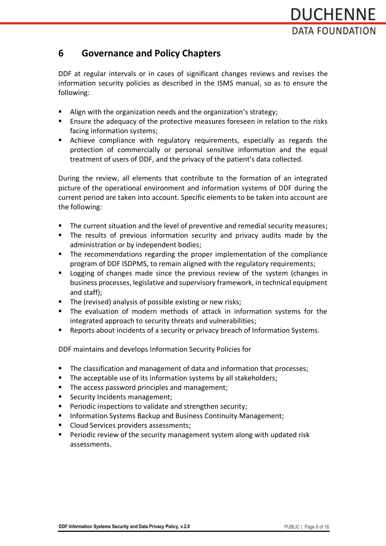### <span id="page-7-0"></span>**6 Governance and Policy Chapters**

DDF at regular intervals or in cases of significant changes reviews and revises the information security policies as described in the ISMS manual, so as to ensure the following:

- Align with the organization needs and the organization's strategy:
- Ensure the adequacy of the protective measures foreseen in relation to the risks facing information systems;
- Achieve compliance with regulatory requirements, especially as regards the protection of commercially or personal sensitive information and the equal treatment of users of DDF, and the privacy of the patient's data collected.

During the review, all elements that contribute to the formation of an integrated picture of the operational environment and information systems of DDF during the current period are taken into account. Specific elements to be taken into account are the following:

- The current situation and the level of preventive and remedial security measures;
- The results of previous information security and privacy audits made by the administration or by independent bodies;
- The recommendations regarding the proper implementation of the compliance program of DDF ISDPMS, to remain aligned with the regulatory requirements;
- Logging of changes made since the previous review of the system (changes in business processes, legislative and supervisory framework, in technical equipment and staff);
- The (revised) analysis of possible existing or new risks;
- The evaluation of modern methods of attack in information systems for the integrated approach to security threats and vulnerabilities;
- Reports about incidents of a security or privacy breach of Information Systems.

DDF maintains and develops Information Security Policies for

- The classification and management of data and information that processes;
- The acceptable use of its information systems by all stakeholders;
- The access password principles and management;
- Security Incidents management;
- Periodic inspections to validate and strengthen security;
- Information Systems Backup and Business Continuity Management;
- Cloud Services providers assessments:
- **•** Periodic review of the security management system along with updated risk assessments.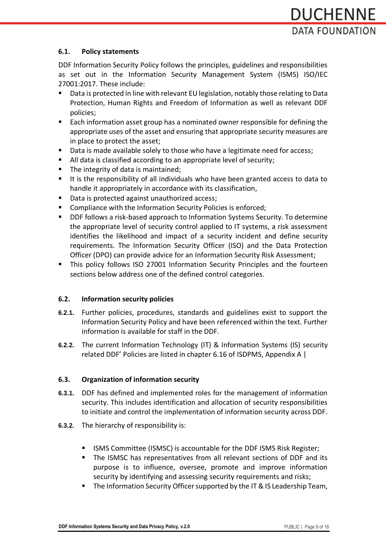#### <span id="page-8-0"></span>**6.1. Policy statements**

DDF Information Security Policy follows the principles, guidelines and responsibilities as set out in the Information Security Management System (ISMS) ISO/IEC 27001:2017. These include:

- Data is protected in line with relevant EU legislation, notably those relating to Data Protection, Human Rights and Freedom of Information as well as relevant DDF policies;
- Each information asset group has a nominated owner responsible for defining the appropriate uses of the asset and ensuring that appropriate security measures are in place to protect the asset;
- Data is made available solely to those who have a legitimate need for access;
- All data is classified according to an appropriate level of security;
- The integrity of data is maintained;
- It is the responsibility of all individuals who have been granted access to data to handle it appropriately in accordance with its classification,
- Data is protected against unauthorized access;
- Compliance with the Information Security Policies is enforced;
- DDF follows a risk-based approach to Information Systems Security. To determine the appropriate level of security control applied to IT systems, a risk assessment identifies the likelihood and impact of a security incident and define security requirements. The Information Security Officer (ISO) and the Data Protection Officer (DPO) can provide advice for an Information Security Risk Assessment;
- **EXT** This policy follows ISO 27001 Information Security Principles and the fourteen sections below address one of the defined control categories.

#### <span id="page-8-1"></span>**6.2. Information security policies**

- **6.2.1.** Further policies, procedures, standards and guidelines exist to support the Information Security Policy and have been referenced within the text. Further information is available for staff in the DDF.
- **6.2.2.** The current Information Technology (IT) & Information Systems (IS) security related DDF' Policies are listed in chapter [6.16](#page-14-0) of ISDPMS, [Appendix A |](#page-14-0)

#### <span id="page-8-2"></span>**6.3. Organization of information security**

- **6.3.1.** DDF has defined and implemented roles for the management of information security. This includes identification and allocation of security responsibilities to initiate and control the implementation of information security across DDF.
- **6.3.2.** The hierarchy of responsibility is:
	- ISMS Committee (ISMSC) is accountable for the DDF ISMS Risk Register;
	- The ISMSC has representatives from all relevant sections of DDF and its purpose is to influence, oversee, promote and improve information security by identifying and assessing security requirements and risks;
	- The Information Security Officer supported by the IT & IS Leadership Team,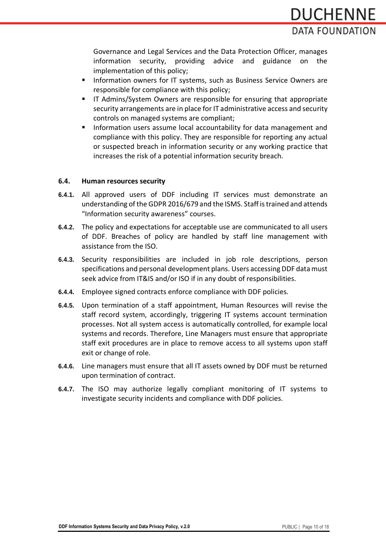Governance and Legal Services and the Data Protection Officer, manages information security, providing advice and guidance on the implementation of this policy;

- Information owners for IT systems, such as Business Service Owners are responsible for compliance with this policy;
- IT Admins/System Owners are responsible for ensuring that appropriate security arrangements are in place for IT administrative access and security controls on managed systems are compliant;
- Information users assume local accountability for data management and compliance with this policy. They are responsible for reporting any actual or suspected breach in information security or any working practice that increases the risk of a potential information security breach.

#### <span id="page-9-0"></span>**6.4. Human resources security**

- **6.4.1.** All approved users of DDF including IT services must demonstrate an understanding of the GDPR 2016/679 and the ISMS. Staff is trained and attends "Information security awareness" courses.
- **6.4.2.** The policy and expectations for acceptable use are communicated to all users of DDF. Breaches of policy are handled by staff line management with assistance from the ISO.
- **6.4.3.** Security responsibilities are included in job role descriptions, person specifications and personal development plans. Users accessing DDF data must seek advice from IT&IS and/or ISO if in any doubt of responsibilities.
- **6.4.4.** Employee signed contracts enforce compliance with DDF policies.
- **6.4.5.** Upon termination of a staff appointment, Human Resources will revise the staff record system, accordingly, triggering IT systems account termination processes. Not all system access is automatically controlled, for example local systems and records. Therefore, Line Managers must ensure that appropriate staff exit procedures are in place to remove access to all systems upon staff exit or change of role.
- **6.4.6.** Line managers must ensure that all IT assets owned by DDF must be returned upon termination of contract.
- **6.4.7.** The ISO may authorize legally compliant monitoring of IT systems to investigate security incidents and compliance with DDF policies.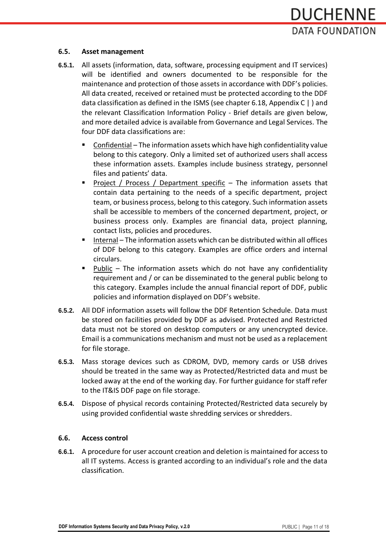# **DUCHENNE DATA FOUNDATION**

#### <span id="page-10-0"></span>**6.5. Asset management**

- **6.5.1.** All assets (information, data, software, processing equipment and IT services) will be identified and owners documented to be responsible for the maintenance and protection of those assets in accordance with DDF's policies. All data created, received or retained must be protected according to the DDF data classification as defined in the ISMS (see chapter [6.18, Appendix C |](#page-16-0) ) and the relevant Classification Information Policy - Brief details are given below, and more detailed advice is available from Governance and Legal Services. The four DDF data classifications are:
	- Confidential The information assets which have high confidentiality value belong to this category. Only a limited set of authorized users shall access these information assets. Examples include business strategy, personnel files and patients' data.
	- Project / Process / Department specific  $-$  The information assets that contain data pertaining to the needs of a specific department, project team, or business process, belong to this category. Such information assets shall be accessible to members of the concerned department, project, or business process only. Examples are financial data, project planning, contact lists, policies and procedures.
	- Internal The information assets which can be distributed within all offices of DDF belong to this category. Examples are office orders and internal circulars.
	- Public  $-$  The information assets which do not have any confidentiality requirement and / or can be disseminated to the general public belong to this category. Examples include the annual financial report of DDF, public policies and information displayed on DDF's website.
- **6.5.2.** All DDF information assets will follow the DDF Retention Schedule. Data must be stored on facilities provided by DDF as advised. Protected and Restricted data must not be stored on desktop computers or any unencrypted device. Email is a communications mechanism and must not be used as a replacement for file storage.
- **6.5.3.** Mass storage devices such as CDROM, DVD, memory cards or USB drives should be treated in the same way as Protected/Restricted data and must be locked away at the end of the working day. For further guidance for staff refer to the IT&IS DDF page on file storage.
- **6.5.4.** Dispose of physical records containing Protected/Restricted data securely by using provided confidential waste shredding services or shredders.

#### <span id="page-10-1"></span>**6.6. Access control**

**6.6.1.** A procedure for user account creation and deletion is maintained for access to all IT systems. Access is granted according to an individual's role and the data classification.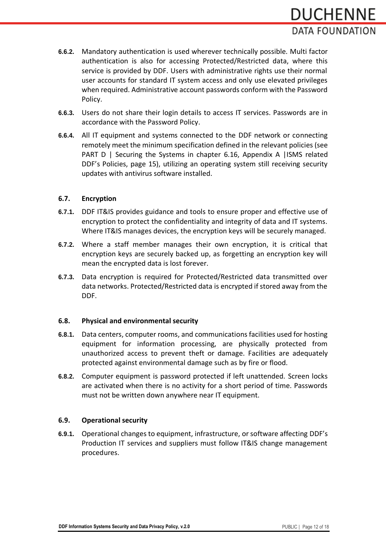- **6.6.2.** Mandatory authentication is used wherever technically possible. Multi factor authentication is also for accessing Protected/Restricted data, where this service is provided by DDF. Users with administrative rights use their normal user accounts for standard IT system access and only use elevated privileges when required. Administrative account passwords conform with the Password Policy.
- **6.6.3.** Users do not share their login details to access IT services. Passwords are in accordance with the Password Policy.
- **6.6.4.** All IT equipment and systems connected to the DDF network or connecting remotely meet the minimum specification defined in the relevant policies (see PART D | Securing the Systems in chapter [6.16, Appendix A |ISMS](#page-14-0) related DDF's [Policies,](#page-14-0) page [15\)](#page-14-0), utilizing an operating system still receiving security updates with antivirus software installed.

#### <span id="page-11-0"></span>**6.7. Encryption**

- **6.7.1.** DDF IT&IS provides guidance and tools to ensure proper and effective use of encryption to protect the confidentiality and integrity of data and IT systems. Where IT&IS manages devices, the encryption keys will be securely managed.
- **6.7.2.** Where a staff member manages their own encryption, it is critical that encryption keys are securely backed up, as forgetting an encryption key will mean the encrypted data is lost forever.
- **6.7.3.** Data encryption is required for Protected/Restricted data transmitted over data networks. Protected/Restricted data is encrypted if stored away from the DDF.

#### <span id="page-11-1"></span>**6.8. Physical and environmental security**

- **6.8.1.** Data centers, computer rooms, and communications facilities used for hosting equipment for information processing, are physically protected from unauthorized access to prevent theft or damage. Facilities are adequately protected against environmental damage such as by fire or flood.
- **6.8.2.** Computer equipment is password protected if left unattended. Screen locks are activated when there is no activity for a short period of time. Passwords must not be written down anywhere near IT equipment.

#### <span id="page-11-2"></span>**6.9. Operational security**

**6.9.1.** Operational changes to equipment, infrastructure, or software affecting DDF's Production IT services and suppliers must follow IT&IS change management procedures.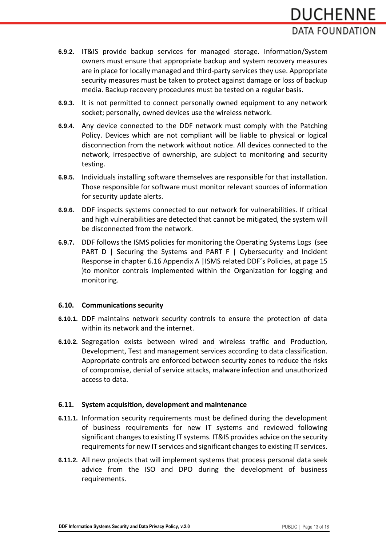- **6.9.2.** IT&IS provide backup services for managed storage. Information/System owners must ensure that appropriate backup and system recovery measures are in place for locally managed and third-party services they use. Appropriate security measures must be taken to protect against damage or loss of backup media. Backup recovery procedures must be tested on a regular basis.
- **6.9.3.** It is not permitted to connect personally owned equipment to any network socket; personally, owned devices use the wireless network.
- **6.9.4.** Any device connected to the DDF network must comply with the Patching Policy. Devices which are not compliant will be liable to physical or logical disconnection from the network without notice. All devices connected to the network, irrespective of ownership, are subject to monitoring and security testing.
- **6.9.5.** Individuals installing software themselves are responsible for that installation. Those responsible for software must monitor relevant sources of information for security update alerts.
- **6.9.6.** DDF inspects systems connected to our network for vulnerabilities. If critical and high vulnerabilities are detected that cannot be mitigated, the system will be disconnected from the network.
- **6.9.7.** DDF follows the ISMS policies for monitoring the Operating Systems Logs (see PART D | Securing the Systems and PART F | Cybersecurity and Incident Response in chapter [6.16](#page-14-0) [Appendix A |ISMS](#page-14-0) related DDF's Policies, at page [15](#page-14-0) )to monitor controls implemented within the Organization for logging and monitoring.

#### <span id="page-12-0"></span>**6.10. Communications security**

- **6.10.1.** DDF maintains network security controls to ensure the protection of data within its network and the internet.
- **6.10.2.** Segregation exists between wired and wireless traffic and Production, Development, Test and management services according to data classification. Appropriate controls are enforced between security zones to reduce the risks of compromise, denial of service attacks, malware infection and unauthorized access to data.

#### <span id="page-12-1"></span>**6.11. System acquisition, development and maintenance**

- **6.11.1.** Information security requirements must be defined during the development of business requirements for new IT systems and reviewed following significant changes to existing IT systems. IT&IS provides advice on the security requirements for new IT services and significant changes to existing IT services.
- **6.11.2.** All new projects that will implement systems that process personal data seek advice from the ISO and DPO during the development of business requirements.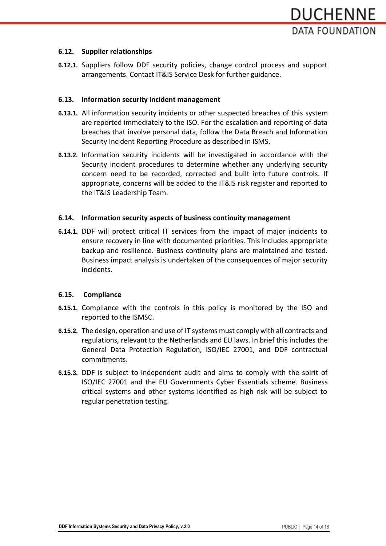#### <span id="page-13-0"></span>**6.12. Supplier relationships**

**6.12.1.** Suppliers follow DDF security policies, change control process and support arrangements. Contact IT&IS Service Desk for further guidance.

#### <span id="page-13-1"></span>**6.13. Information security incident management**

- **6.13.1.** All information security incidents or other suspected breaches of this system are reported immediately to the ISO. For the escalation and reporting of data breaches that involve personal data, follow the Data Breach and Information Security Incident Reporting Procedure as described in ISMS.
- **6.13.2.** Information security incidents will be investigated in accordance with the Security incident procedures to determine whether any underlying security concern need to be recorded, corrected and built into future controls. If appropriate, concerns will be added to the IT&IS risk register and reported to the IT&IS Leadership Team.

#### <span id="page-13-2"></span>**6.14. Information security aspects of business continuity management**

**6.14.1.** DDF will protect critical IT services from the impact of major incidents to ensure recovery in line with documented priorities. This includes appropriate backup and resilience. Business continuity plans are maintained and tested. Business impact analysis is undertaken of the consequences of major security incidents.

#### <span id="page-13-3"></span>**6.15. Compliance**

- **6.15.1.** Compliance with the controls in this policy is monitored by the ISO and reported to the ISMSC.
- **6.15.2.** The design, operation and use of IT systems must comply with all contracts and regulations, relevant to the Netherlands and EU laws. In brief this includes the General Data Protection Regulation, ISO/IEC 27001, and DDF contractual commitments.
- **6.15.3.** DDF is subject to independent audit and aims to comply with the spirit of ISO/IEC 27001 and the EU Governments Cyber Essentials scheme. Business critical systems and other systems identified as high risk will be subject to regular penetration testing.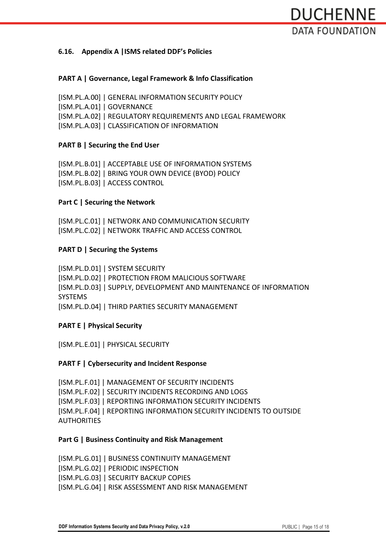#### <span id="page-14-0"></span>**6.16. Appendix A |ISMS related DDF's Policies**

#### **PART A | Governance, Legal Framework & Info Classification**

[ISM.PL.A.00] | GENERAL INFORMATION SECURITY POLICY [ISM.PL.A.01] | GOVERNANCE [ISM.PL.A.02] | REGULATORY REQUIREMENTS AND LEGAL FRAMEWORK [ISM.PL.A.03] | CLASSIFICATION OF INFORMATION

#### **PART B | Securing the End User**

[ISM.PL.B.01] | ACCEPTABLE USE OF INFORMATION SYSTEMS [ISM.PL.B.02] | BRING YOUR OWN DEVICE (BYOD) POLICY [ISM.PL.B.03] | ACCESS CONTROL

#### **Part C | Securing the Network**

[ISM.PL.C.01] | NETWORK AND COMMUNICATION SECURITY [ISM.PL.C.02] | NETWORK TRAFFIC AND ACCESS CONTROL

#### **PART D | Securing the Systems**

[ISM.PL.D.01] | SYSTEM SECURITY [ISM.PL.D.02] | PROTECTION FROM MALICIOUS SOFTWARE [ISM.PL.D.03] | SUPPLY, DEVELOPMENT AND MAINTENANCE OF INFORMATION **SYSTEMS** [ISM.PL.D.04] | THIRD PARTIES SECURITY MANAGEMENT

#### **PART E | Physical Security**

[ISM.PL.E.01] | PHYSICAL SECURITY

#### **PART F | Cybersecurity and Incident Response**

[ISM.PL.F.01] | MANAGEMENT OF SECURITY INCIDENTS [ISM.PL.F.02] | SECURITY INCIDENTS RECORDING AND LOGS [ISM.PL.F.03] | REPORTING INFORMATION SECURITY INCIDENTS [ISM.PL.F.04] | REPORTING INFORMATION SECURITY INCIDENTS TO OUTSIDE **AUTHORITIES** 

#### **Part G | Business Continuity and Risk Management**

[ISM.PL.G.01] | BUSINESS CONTINUITY MANAGEMENT [ISM.PL.G.02] | PERIODIC INSPECTION [ISM.PL.G.03] | SECURITY BACKUP COPIES [ISM.PL.G.04] | RISK ASSESSMENT AND RISK MANAGEMENT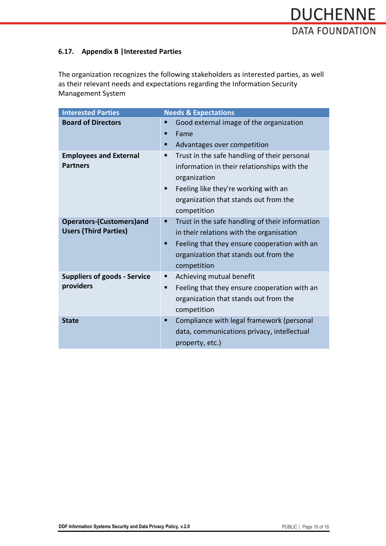#### <span id="page-15-0"></span>**6.17. Appendix B |Interested Parties**

The organization recognizes the following stakeholders as interested parties, as well as their relevant needs and expectations regarding the Information Security Management System

| <b>Interested Parties</b>                                       | <b>Needs &amp; Expectations</b>                                                                                                                                                                                       |  |
|-----------------------------------------------------------------|-----------------------------------------------------------------------------------------------------------------------------------------------------------------------------------------------------------------------|--|
| <b>Board of Directors</b>                                       | Good external image of the organization<br>Fame<br>п                                                                                                                                                                  |  |
|                                                                 | Advantages over competition<br>п                                                                                                                                                                                      |  |
| <b>Employees and External</b><br><b>Partners</b>                | Trust in the safe handling of their personal<br>٠<br>information in their relationships with the<br>organization<br>Feeling like they're working with an<br>٠<br>organization that stands out from the<br>competition |  |
| <b>Operators-(Customers)and</b><br><b>Users (Third Parties)</b> | Trust in the safe handling of their information<br>п<br>in their relations with the organisation<br>Feeling that they ensure cooperation with an<br>п<br>organization that stands out from the<br>competition         |  |
| <b>Suppliers of goods - Service</b><br>providers                | Achieving mutual benefit<br>٠<br>Feeling that they ensure cooperation with an<br>п<br>organization that stands out from the<br>competition                                                                            |  |
| <b>State</b>                                                    | Compliance with legal framework (personal<br>п<br>data, communications privacy, intellectual<br>property, etc.)                                                                                                       |  |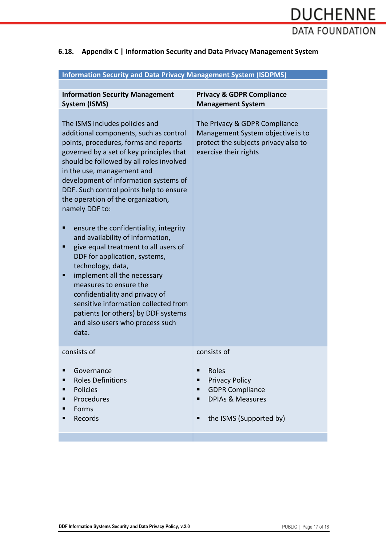# **DUCHENNE DATA FOUNDATION**

#### <span id="page-16-0"></span>**6.18. Appendix C | Information Security and Data Privacy Management System**

| <b>Information Security and Data Privacy Management System (ISDPMS)</b>                                                                                                                                                                                                                                                                                                                                                                                                                                                                                                                                                                                                                                                                                                                        |                                                                                                                                     |  |  |  |  |
|------------------------------------------------------------------------------------------------------------------------------------------------------------------------------------------------------------------------------------------------------------------------------------------------------------------------------------------------------------------------------------------------------------------------------------------------------------------------------------------------------------------------------------------------------------------------------------------------------------------------------------------------------------------------------------------------------------------------------------------------------------------------------------------------|-------------------------------------------------------------------------------------------------------------------------------------|--|--|--|--|
|                                                                                                                                                                                                                                                                                                                                                                                                                                                                                                                                                                                                                                                                                                                                                                                                |                                                                                                                                     |  |  |  |  |
| <b>Information Security Management</b><br><b>System (ISMS)</b>                                                                                                                                                                                                                                                                                                                                                                                                                                                                                                                                                                                                                                                                                                                                 | <b>Privacy &amp; GDPR Compliance</b><br><b>Management System</b>                                                                    |  |  |  |  |
| The ISMS includes policies and<br>additional components, such as control<br>points, procedures, forms and reports<br>governed by a set of key principles that<br>should be followed by all roles involved<br>in the use, management and<br>development of information systems of<br>DDF. Such control points help to ensure<br>the operation of the organization,<br>namely DDF to:<br>ensure the confidentiality, integrity<br>п<br>and availability of information,<br>give equal treatment to all users of<br>п<br>DDF for application, systems,<br>technology, data,<br>implement all the necessary<br>measures to ensure the<br>confidentiality and privacy of<br>sensitive information collected from<br>patients (or others) by DDF systems<br>and also users who process such<br>data. | The Privacy & GDPR Compliance<br>Management System objective is to<br>protect the subjects privacy also to<br>exercise their rights |  |  |  |  |
| consists of                                                                                                                                                                                                                                                                                                                                                                                                                                                                                                                                                                                                                                                                                                                                                                                    | consists of                                                                                                                         |  |  |  |  |
| Governance<br><b>Roles Definitions</b><br>Policies<br>Procedures<br>Forms<br>Records                                                                                                                                                                                                                                                                                                                                                                                                                                                                                                                                                                                                                                                                                                           | Roles<br><b>Privacy Policy</b><br><b>GDPR Compliance</b><br>п<br><b>DPIAs &amp; Measures</b><br>the ISMS (Supported by)<br>٠        |  |  |  |  |